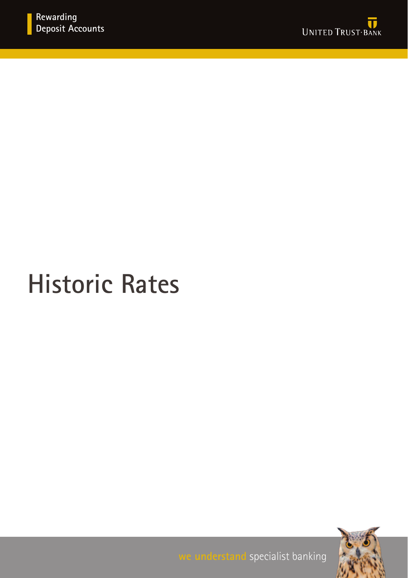

## **Historic Rates**



**we understand** specialist banking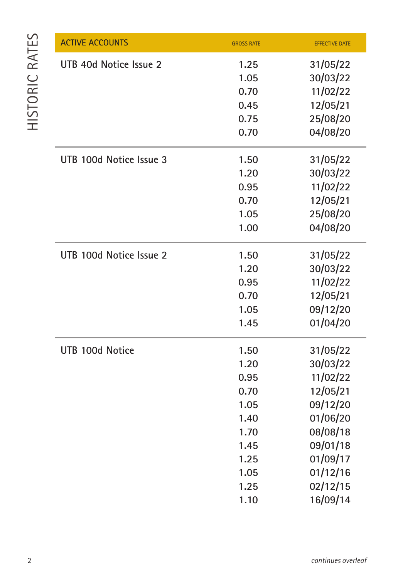| <b>ACTIVE ACCOUNTS</b>  | <b>GROSS RATE</b> | <b>EFFECTIVE DATE</b> |
|-------------------------|-------------------|-----------------------|
| UTB 40d Notice Issue 2  | 1.25              | 31/05/22              |
|                         | 1.05              | 30/03/22              |
|                         | 0.70              | 11/02/22              |
|                         | 0.45              | 12/05/21              |
|                         | 0.75              | 25/08/20              |
|                         | 0.70              | 04/08/20              |
| UTB 100d Notice Issue 3 | 1.50              | 31/05/22              |
|                         | 1.20              | 30/03/22              |
|                         | 0.95              | 11/02/22              |
|                         | 0.70              | 12/05/21              |
|                         | 1.05              | 25/08/20              |
|                         | 1.00              | 04/08/20              |
| UTB 100d Notice Issue 2 | 1.50              | 31/05/22              |
|                         | 1.20              | 30/03/22              |
|                         | 0.95              | 11/02/22              |
|                         | 0.70              | 12/05/21              |
|                         | 1.05              | 09/12/20              |
|                         | 1.45              | 01/04/20              |
| UTB 100d Notice         | 1.50              | 31/05/22              |
|                         | 1.20              | 30/03/22              |
|                         | 0.95              | 11/02/22              |
|                         | 0.70              | 12/05/21              |
|                         | 1.05              | 09/12/20              |
|                         | 1.40              | 01/06/20              |
|                         | 1.70              | 08/08/18              |
|                         | 1.45              | 09/01/18              |
|                         | 1.25              | 01/09/17              |
|                         | 1.05              | 01/12/16              |
|                         | 1.25              | 02/12/15              |
|                         | 1.10              | 16/09/14              |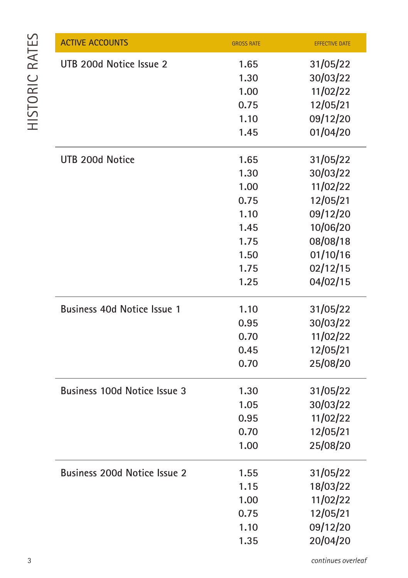| <b>ACTIVE ACCOUNTS</b>       | <b>GROSS RATE</b> | <b>EFFECTIVE DATE</b> |
|------------------------------|-------------------|-----------------------|
| UTB 200d Notice Issue 2      | 1.65              | 31/05/22              |
|                              | 1.30              | 30/03/22              |
|                              | 1.00              | 11/02/22              |
|                              | 0.75              | 12/05/21              |
|                              | 1.10              | 09/12/20              |
|                              | 1.45              | 01/04/20              |
| UTB 200d Notice              | 1.65              | 31/05/22              |
|                              | 1.30              | 30/03/22              |
|                              | 1.00              | 11/02/22              |
|                              | 0.75              | 12/05/21              |
|                              | 1.10              | 09/12/20              |
|                              | 1.45              | 10/06/20              |
|                              | 1.75              | 08/08/18              |
|                              | 1.50              | 01/10/16              |
|                              | 1.75              | 02/12/15              |
|                              | 1.25              | 04/02/15              |
| Business 40d Notice Issue 1  | 1.10              | 31/05/22              |
|                              | 0.95              | 30/03/22              |
|                              | 0.70              | 11/02/22              |
|                              | 0.45              | 12/05/21              |
|                              | 0.70              | 25/08/20              |
| Business 100d Notice Issue 3 | 1.30              | 31/05/22              |
|                              | 1.05              | 30/03/22              |
|                              | 0.95              | 11/02/22              |
|                              | 0.70              | 12/05/21              |
|                              | 1.00              | 25/08/20              |
| Business 200d Notice Issue 2 | 1.55              | 31/05/22              |
|                              | 1.15              | 18/03/22              |
|                              | 1.00              | 11/02/22              |
|                              | 0.75              | 12/05/21              |
|                              | 1.10              | 09/12/20              |
|                              | 1.35              | 20/04/20              |

*continues overleaf*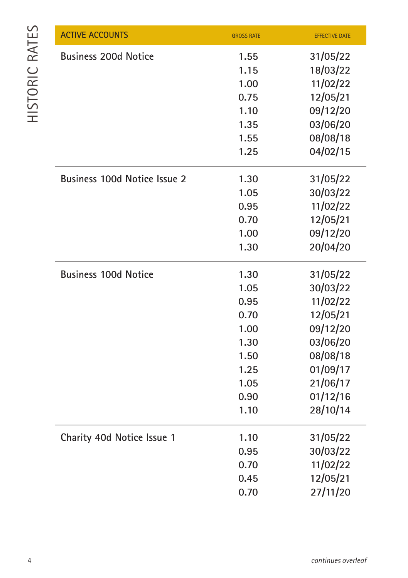| <b>ACTIVE ACCOUNTS</b>              | <b>GROSS RATE</b> | <b>EFFECTIVE DATE</b> |
|-------------------------------------|-------------------|-----------------------|
| <b>Business 200d Notice</b>         | 1.55              | 31/05/22              |
|                                     | 1.15              | 18/03/22              |
|                                     | 1.00              | 11/02/22              |
|                                     | 0.75              | 12/05/21              |
|                                     | 1.10              | 09/12/20              |
|                                     | 1.35              | 03/06/20              |
|                                     | 1.55              | 08/08/18              |
|                                     | 1.25              | 04/02/15              |
| <b>Business 100d Notice Issue 2</b> | 1.30              | 31/05/22              |
|                                     | 1.05              | 30/03/22              |
|                                     | 0.95              | 11/02/22              |
|                                     | 0.70              | 12/05/21              |
|                                     | 1.00              | 09/12/20              |
|                                     | 1.30              | 20/04/20              |
| <b>Business 100d Notice</b>         | 1.30              | 31/05/22              |
|                                     | 1.05              | 30/03/22              |
|                                     | 0.95              | 11/02/22              |
|                                     | 0.70              | 12/05/21              |
|                                     | 1.00              | 09/12/20              |
|                                     | 1.30              | 03/06/20              |
|                                     | 1.50              | 08/08/18              |
|                                     | 1.25              | 01/09/17              |
|                                     | 1.05              | 21/06/17              |
|                                     | 0.90              | 01/12/16              |
|                                     | 1.10              | 28/10/14              |
| Charity 40d Notice Issue 1          | 1.10              | 31/05/22              |
|                                     | 0.95              | 30/03/22              |
|                                     | 0.70              | 11/02/22              |
|                                     | 0.45              | 12/05/21              |
|                                     | 0.70              | 27/11/20              |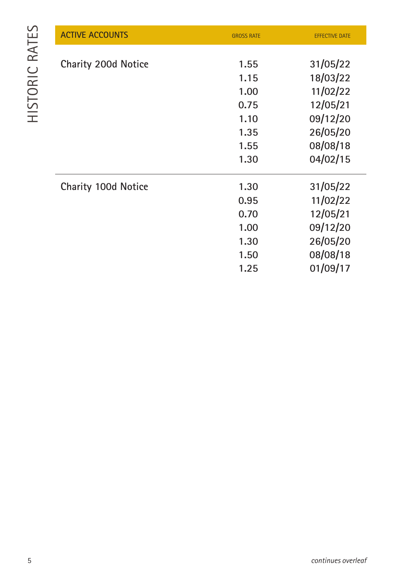| <b>ACTIVE ACCOUNTS</b> | <b>GROSS RATE</b> | <b>EFFECTIVE DATE</b> |
|------------------------|-------------------|-----------------------|
|                        |                   |                       |
| Charity 200d Notice    | 1.55              | 31/05/22              |
|                        | 1.15              | 18/03/22              |
|                        | 1.00              | 11/02/22              |
|                        | 0.75              | 12/05/21              |
|                        | 1.10              | 09/12/20              |
|                        | 1.35              | 26/05/20              |
|                        | 1.55              | 08/08/18              |
|                        | 1.30              | 04/02/15              |
| Charity 100d Notice    | 1.30              | 31/05/22              |
|                        | 0.95              | 11/02/22              |
|                        | 0.70              | 12/05/21              |
|                        | 1.00              | 09/12/20              |
|                        | 1.30              | 26/05/20              |
|                        | 1.50              | 08/08/18              |
|                        | 1.25              | 01/09/17              |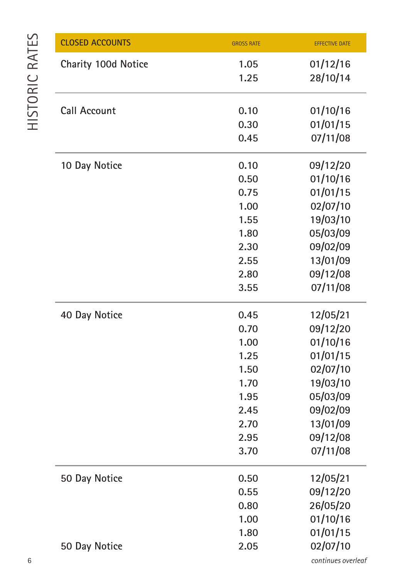| <b>CLOSED ACCOUNTS</b> | <b>GROSS RATE</b> | <b>EFFECTIVE DATE</b> |
|------------------------|-------------------|-----------------------|
| Charity 100d Notice    | 1.05              | 01/12/16              |
|                        | 1.25              | 28/10/14              |
|                        |                   |                       |
| Call Account           | 0.10              | 01/10/16              |
|                        | 0.30              | 01/01/15              |
|                        | 0.45              | 07/11/08              |
| 10 Day Notice          | 0.10              | 09/12/20              |
|                        | 0.50              | 01/10/16              |
|                        | 0.75              | 01/01/15              |
|                        | 1.00              | 02/07/10              |
|                        | 1.55              | 19/03/10              |
|                        | 1.80              | 05/03/09              |
|                        | 2.30              | 09/02/09              |
|                        | 2.55              | 13/01/09              |
|                        | 2.80              | 09/12/08              |
|                        | 3.55              | 07/11/08              |
|                        |                   |                       |
| 40 Day Notice          | 0.45              | 12/05/21              |
|                        | 0.70              | 09/12/20              |
|                        | 1.00              | 01/10/16              |
|                        | 1.25              | 01/01/15              |
|                        | 1.50              | 02/07/10              |
|                        | 1.70              | 19/03/10              |
|                        | 1.95              | 05/03/09              |
|                        | 2.45              | 09/02/09              |
|                        | 2.70              | 13/01/09              |
|                        | 2.95              | 09/12/08              |
|                        | 3.70              | 07/11/08              |
| 50 Day Notice          | 0.50              | 12/05/21              |
|                        | 0.55              | 09/12/20              |
|                        | 0.80              | 26/05/20              |
|                        | 1.00              | 01/10/16              |
|                        | 1.80              | 01/01/15              |
| 50 Day Notice          | 2.05              | 02/07/10              |
|                        |                   |                       |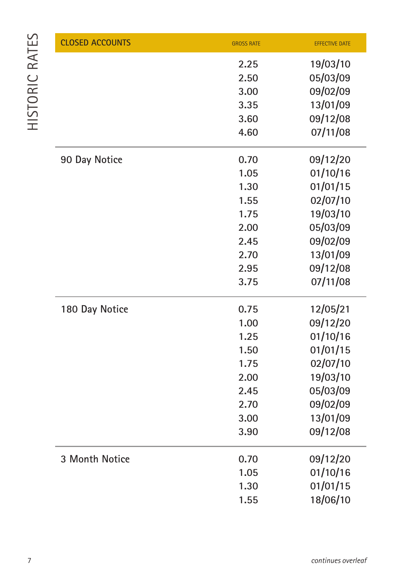| <b>CLOSED ACCOUNTS</b> | <b>GROSS RATE</b> | <b>EFFECTIVE DATE</b> |
|------------------------|-------------------|-----------------------|
|                        | 2.25              | 19/03/10              |
|                        | 2.50              | 05/03/09              |
|                        | 3.00              | 09/02/09              |
|                        | 3.35              | 13/01/09              |
|                        | 3.60              | 09/12/08              |
|                        | 4.60              | 07/11/08              |
| 90 Day Notice          | 0.70              | 09/12/20              |
|                        | 1.05              | 01/10/16              |
|                        | 1.30              | 01/01/15              |
|                        | 1.55              | 02/07/10              |
|                        | 1.75              | 19/03/10              |
|                        | 2.00              | 05/03/09              |
|                        | 2.45              | 09/02/09              |
|                        | 2.70              | 13/01/09              |
|                        | 2.95              | 09/12/08              |
|                        | 3.75              | 07/11/08              |
| 180 Day Notice         | 0.75              | 12/05/21              |
|                        | 1.00              | 09/12/20              |
|                        | 1.25              | 01/10/16              |
|                        | 1.50              | 01/01/15              |
|                        | 1.75              | 02/07/10              |
|                        | 2.00              | 19/03/10              |
|                        | 2.45              | 05/03/09              |
|                        | 2.70              | 09/02/09              |
|                        | 3.00              | 13/01/09              |
|                        | 3.90              | 09/12/08              |
| 3 Month Notice         | 0.70              | 09/12/20              |
|                        | 1.05              | 01/10/16              |
|                        | 1.30              | 01/01/15              |
|                        | 1.55              | 18/06/10              |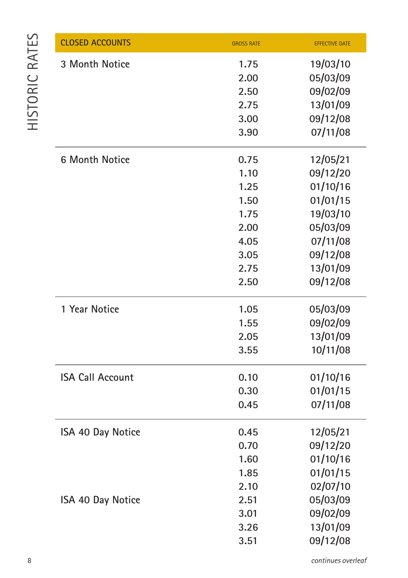| <b>CLOSED ACCOUNTS</b>  | <b>GROSS RATE</b> | <b>EFFECTIVE DATE</b> |
|-------------------------|-------------------|-----------------------|
| 3 Month Notice          | 1.75              | 19/03/10              |
|                         | 2.00              | 05/03/09              |
|                         | 2.50              | 09/02/09              |
|                         | 2.75              | 13/01/09              |
|                         | 3.00              | 09/12/08              |
|                         | 3.90              | 07/11/08              |
| <b>6 Month Notice</b>   | 0.75              | 12/05/21              |
|                         | 1.10              | 09/12/20              |
|                         | 1.25              | 01/10/16              |
|                         | 1.50              | 01/01/15              |
|                         | 1.75              | 19/03/10              |
|                         | 2.00              | 05/03/09              |
|                         | 4.05              | 07/11/08              |
|                         | 3.05              | 09/12/08              |
|                         | 2.75              | 13/01/09              |
|                         | 2.50              | 09/12/08              |
| 1 Year Notice           | 1.05              | 05/03/09              |
|                         | 1.55              | 09/02/09              |
|                         | 2.05              | 13/01/09              |
|                         | 3.55              | 10/11/08              |
| <b>ISA Call Account</b> | 0.10              | 01/10/16              |
|                         | 0.30              | 01/01/15              |
|                         | 0.45              | 07/11/08              |
| ISA 40 Day Notice       | 0.45              | 12/05/21              |
|                         | 0.70              | 09/12/20              |
|                         | 1.60              | 01/10/16              |
|                         | 1.85              | 01/01/15              |
|                         | 2.10              | 02/07/10              |
| ISA 40 Day Notice       | 2.51              | 05/03/09              |
|                         | 3.01              | 09/02/09              |
|                         | 3.26              | 13/01/09              |
|                         | 3.51              | 09/12/08              |

*continues overleaf*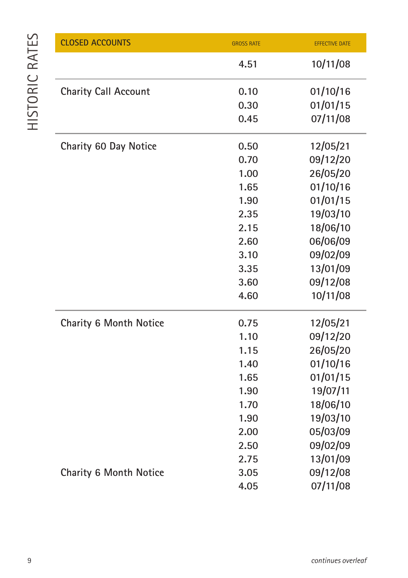| <b>CLOSED ACCOUNTS</b>      | <b>GROSS RATE</b> | <b>EFFECTIVE DATE</b> |
|-----------------------------|-------------------|-----------------------|
|                             | 4.51              | 10/11/08              |
| <b>Charity Call Account</b> | 0.10              | 01/10/16              |
|                             | 0.30              | 01/01/15              |
|                             | 0.45              | 07/11/08              |
| Charity 60 Day Notice       | 0.50              | 12/05/21              |
|                             | 0.70              | 09/12/20              |
|                             | 1.00              | 26/05/20              |
|                             | 1.65              | 01/10/16              |
|                             | 1.90              | 01/01/15              |
|                             | 2.35              | 19/03/10              |
|                             | 2.15              | 18/06/10              |
|                             | 2.60              | 06/06/09              |
|                             | 3.10              | 09/02/09              |
|                             | 3.35              | 13/01/09              |
|                             | 3.60              | 09/12/08              |
|                             | 4.60              | 10/11/08              |
| Charity 6 Month Notice      | 0.75              | 12/05/21              |
|                             | 1.10              | 09/12/20              |
|                             | 1.15              | 26/05/20              |
|                             | 1.40              | 01/10/16              |
|                             | 1.65              | 01/01/15              |
|                             | 1.90              | 19/07/11              |
|                             | 1.70              | 18/06/10              |
|                             | 1.90              | 19/03/10              |
|                             | 2.00              | 05/03/09              |
|                             | 2.50              | 09/02/09              |
|                             | 2.75              | 13/01/09              |
| Charity 6 Month Notice      | 3.05              | 09/12/08              |
|                             | 4.05              | 07/11/08              |